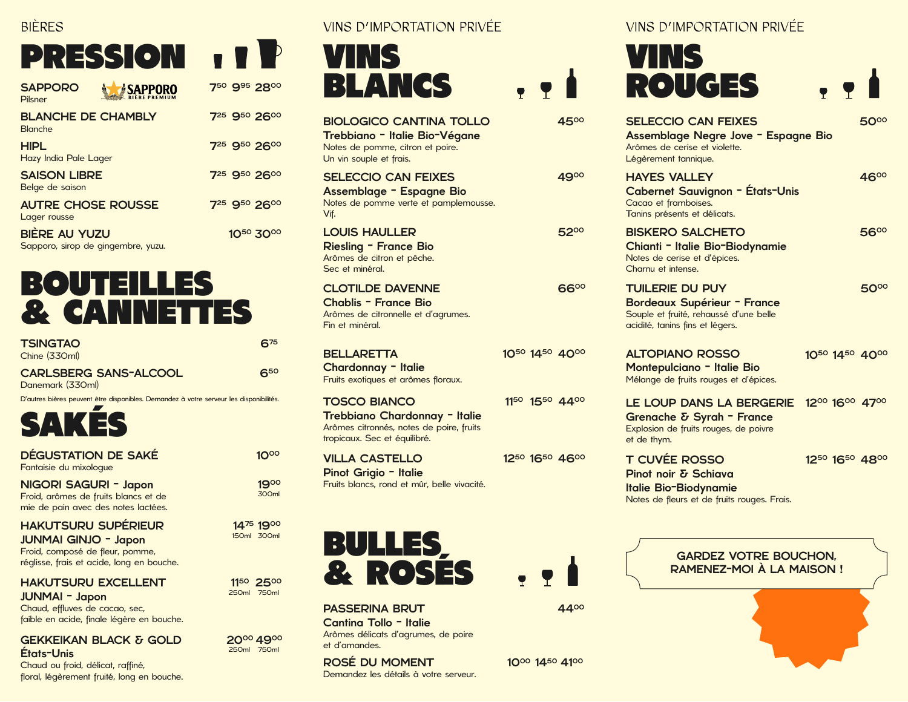### BIÈRES

# PRESSION **11P**

| <b>SAPPORO</b><br><b><i>»</i>SAPPORO</b><br><b>BIÈRE PREMIUM</b><br>Pilsner | 750 995 2800 |
|-----------------------------------------------------------------------------|--------------|
| <b>BLANCHE DE CHAMBLY</b><br><b>Blanche</b>                                 | 725 950 2600 |
| <b>HIPL</b><br>Hazy India Pale Lager                                        | 725 950 2600 |
| <b>SAISON LIBRE</b><br>Belge de saison                                      | 725 950 2600 |
| <b>AUTRE CHOSE ROUSSE</b><br>Lager rousse                                   | 725 950 2600 |
| <b>BIERE AU YUZU</b><br>Sapporo, sirop de gingembre, yuzu.                  | 1050 3000    |

### BOUTEILLES & CANNETTES

| <b>TSINGTAO</b><br>Chine (330ml)                  | $6^{75}$ |
|---------------------------------------------------|----------|
| <b>CARLSBERG SANS-ALCOOL</b><br>Danomark $(770m)$ | 650      |

11<sup>50</sup> 25<sup>00</sup>

750ml 250ml

20<sup>00</sup> 49<sup>00</sup>

750ml 250ml

Danemark (330ml) D'autres bières peuvent être disponibles. Demandez à votre serveur les disponibilités.



| <b>DÉGUSTATION DE SAKÉ</b><br>Fantaisie du mixoloque                                                 | 1000                     |
|------------------------------------------------------------------------------------------------------|--------------------------|
| NIGORI SAGURI - Japon<br>Froid, arômes de fruits blancs et de<br>mie de pain avec des notes lactées. | 1900<br>300ml            |
| <b>HAKUTSURU SUPÉRIEUR</b><br><b>JUNMAI GINJO - Japon</b>                                            | 1475 1900<br>150ml 300ml |

Froid, composé de fleur, pomme, réglisse, frais et acide, long en bouche.

#### HAKUTSURU EXCELLENT

JUNMAI - Japon

Chaud, effluves de cacao, sec, faible en acide, finale légère en bouche.

#### GEKKEIKAN BLACK & GOLD États-Unis

Chaud ou froid, délicat, raffiné, floral, légèrement fruité, long en bouche. VINS D'IMPORTATION PRIVÉE VINS D'IMPORTATION PRIVÉE



| <b>BIOLOGICO CANTINA TOLLO</b><br>Trebbiano - Italie Bio-Végane<br>Notes de pomme, citron et poire.<br>Un vin souple et frais.   |              | 4  |
|----------------------------------------------------------------------------------------------------------------------------------|--------------|----|
| <b>SELECCIO CAN FEIXES</b><br>Assemblage - Espagne Bio<br>Notes de pomme verte et pamplemousse.<br>Vif.                          |              | 49 |
| <b>LOUIS HAULLER</b><br><b>Riesling - France Bio</b><br>Arômes de citron et pêche.<br>Sec et minéral.                            |              | 5  |
| <b>CLOTILDE DAVENNE</b><br><b>Chablis - France Bio</b><br>Arômes de citronnelle et d'agrumes.<br>Fin et minéral.                 |              | 6  |
| <b>BELLARETTA</b><br>Chardonnay - Italie<br>Fruits exotiques et arômes floraux.                                                  | 1050 1450 4  |    |
| <b>TOSCO BIANCO</b><br>Trebbiano Chardonnay - Italie<br>Arômes citronnés, notes de poire, fruits<br>tropicaux. Sec et équilibré. | 1150 1550 4. |    |
| <b>VILLA CASTELLO</b><br>Pinot Grigio - Italie<br>Fruits blancs, rond et mûr, belle vivacité.                                    | 1250 1650 4  |    |



PASSERINA BRUT Cantina Tollo - Italie Arômes délicats d'agrumes, de poire et d'amandes.

ROSÉ DU MOMENT Demandez les détails à votre serveur.

|      | <b>VINS</b><br><b>ROUGES</b>                                                                                               | $\bullet$ $\bullet$ $\bullet$ |
|------|----------------------------------------------------------------------------------------------------------------------------|-------------------------------|
| 4500 | <b>SELECCIO CAN FEIXES</b><br>Assemblage Negre Jove - Espagne Bio<br>Arômes de cerise et violette.<br>Légèrement tannique. |                               |
| 4900 | <b>HAYES VALLEY</b><br><b>Cabernet Sauvignon - États-Unis</b><br>Cacao et framboises.<br>Tanins présents et délicats.      | 4600                          |
|      |                                                                                                                            |                               |

BISKERO SALCHETO 5200 5600 Chianti - Italie Bio-Biodynamie Notes de cerise et d'épices. Charnu et intense.  $66^{\circ\circ}$  Tuilerie du puy and the state  $50^{\circ\circ}$ Bordeaux Supérieur - France

Souple et fruité, rehaussé d'une belle acidité, tanins fins et légers.

ALTOPIANO ROSSO 4000 4000 1450 1450 1050 1050 Montepulciano - Italie Bio Mélange de fruits rouges et d'épices.

4400

1000 1450 4100

 $, 9$ 

11<sup>50</sup> 15<sup>50</sup> 44<sup>00</sup> LE LOUP DANS LA BERGERIE 12<sup>00</sup> 16<sup>00</sup> 47<sup>00</sup> Grenache & Syrah - France Explosion de fruits rouges, de poivre et de thym.

T CUVÉE ROSSO 4600 4800 1650 1650 1250 1250 Pinot noir & Schiava Italie Bio-Biodynamie Notes de fleurs et de fruits rouges. Frais.

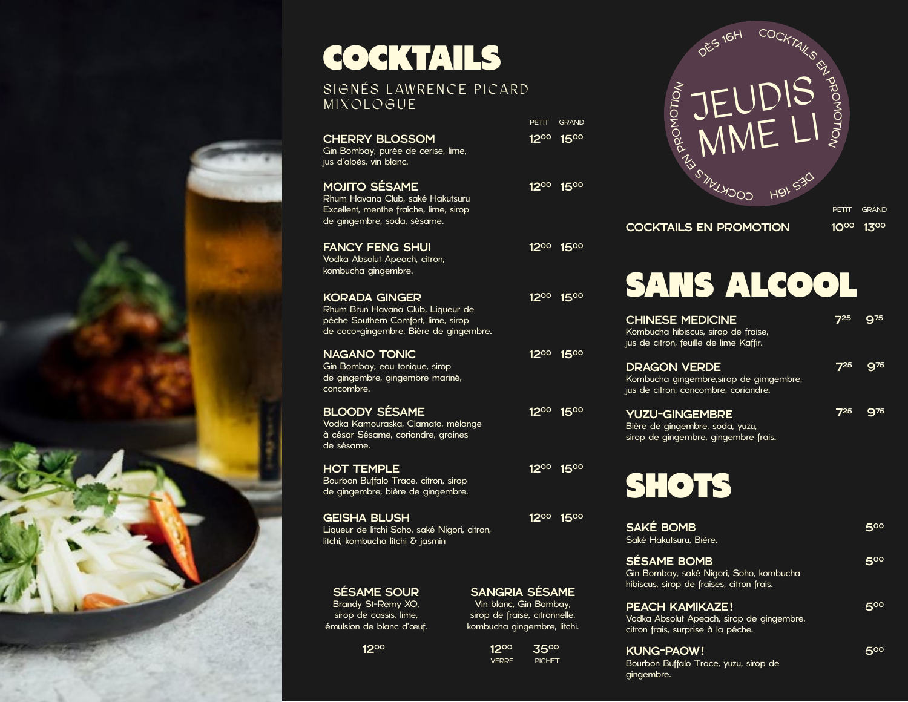## COCKTAILS

### SIGNÉS LAWRENCE PICARD MIXOLOGUE

|                                                                                                                                            | PETIT | <b>GRAND</b>                      |
|--------------------------------------------------------------------------------------------------------------------------------------------|-------|-----------------------------------|
| <b>CHERRY BLOSSOM</b><br>Gin Bombay, purée de cerise, lime,<br>jus d'aloès, vin blanc.                                                     |       | 1200 1500                         |
| <b>MOJITO SÉSAME</b><br>Rhum Havana Club, saké Hakutsuru<br>Excellent, menthe fraîche, lime, sirop<br>de gingembre, soda, sésame.          |       | 12 <sup>00</sup> 15 <sup>00</sup> |
| <b>FANCY FENG SHUI</b><br>Vodka Absolut Apeach, citron,<br>kombucha gingembre.                                                             |       | 12 <sup>oo</sup> 15 <sup>oo</sup> |
| <b>KORADA GINGER</b><br>Rhum Brun Havana Club, Liqueur de<br>pêche Southern Comfort, lime, sirop<br>de coco-gingembre, Bière de gingembre. |       | 12 <sup>oo</sup> 15 <sup>oo</sup> |
| <b>NAGANO TONIC</b><br>Gin Bombay, eau tonique, sirop<br>de gingembre, gingembre mariné,<br>concombre.                                     |       | 12 <sup>00</sup> 15 <sup>00</sup> |
| <b>BLOODY SÉSAME</b><br>Vodka Kamouraska, Clamato, mélange<br>à césar Sésame, coriandre, graines<br>de sésame.                             |       | 1200 1500                         |
| <b>HOT TEMPLE</b><br>Bourbon Buffalo Trace, citron, sirop<br>de gingembre, bière de gingembre.                                             |       | 1200 1500                         |
| <b>GEISHA BLUSH</b><br>Liqueur de litchi Soho, saké Nigori, citron,<br>litchi, kombucha litchi δ jasmin                                    |       | 1200 1500                         |

SÉSAME SOUR Brandy St-Remy XO, sirop de cassis, lime, émulsion de blanc d'œuf.

1200

1200 3500 VERRE PICHET

gingembre.



 $\sf COCKTALS$  EN PROMOTION  $10^{00}$   $13^{00}$ 

## SANS ALCOOL

| <b>CHINESE MEDICINE</b><br>Kombucha hibiscus, sirop de fraise,<br>jus de citron, feuille de lime Kaffir.   | <b>7</b> 25 | 975              |
|------------------------------------------------------------------------------------------------------------|-------------|------------------|
| <b>DRAGON VERDE</b><br>Kombucha gingembre, sirop de gimgembre,<br>jus de citron, concombre, coriandre.     | 725         | 975              |
| <b>YUZU-GINGEMBRE</b><br>Bière de gingembre, soda, yuzu,<br>sirop de gingembre, gingembre frais.           | 725         | 975              |
| <b>SHOTS</b>                                                                                               |             |                  |
| <b>SAKÉ BOMB</b><br>Saké Hakutsuru, Bière.                                                                 |             | $5^{\circ\circ}$ |
| <b>SÉSAME BOMB</b><br>Gin Bombay, saké Nigori, Soho, kombucha<br>hibiscus, sirop de fraises, citron frais. |             | 500              |
| <b>PEACH KAMIKAZE!</b><br>Vodka Absolut Apeach, sirop de gingembre,<br>citron frais, surprise à la pêche.  |             | 500              |
| <b>KUNG-PAOW!</b><br>Bourbon Buffalo Trace, yuzu, sirop de                                                 |             | 500              |

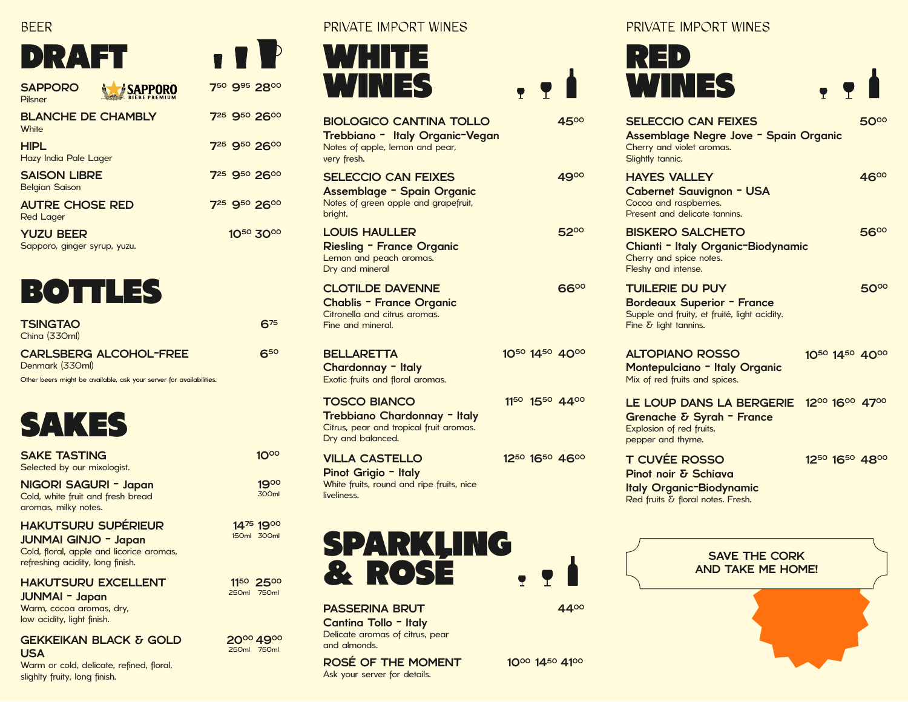#### BEER

### DRAFT

| <b>SAPPORO</b><br><b>SAPPORO</b><br><b>BIÈRE PREMIUM</b><br>Pilsner | 750 995 2800                         |
|---------------------------------------------------------------------|--------------------------------------|
| <b>BLANCHE DE CHAMBLY</b><br>White                                  | 725 950 2600                         |
| <b>HIPL</b><br>Hazy India Pale Lager                                | 7 <sup>25</sup> 9 <sup>50</sup> 2600 |
| <b>SAISON LIBRE</b><br><b>Belgian Saison</b>                        | 7 <sup>25</sup> 9 <sup>50</sup> 2600 |
| <b>AUTRE CHOSE RED</b><br>Red Lager                                 | 7 <sup>25</sup> 9 <sup>50</sup> 2600 |
| <b>YUZU BEER</b><br>Sapporo, ginger syrup, yuzu.                    | 1050 3000                            |



| <b>TSINGTAO</b><br>China (330ml)                                    |
|---------------------------------------------------------------------|
| <b>CARLSBERG ALCOHOL-FREE</b><br>Denmark (330ml)                    |
| Other beers might be available, ask your server for availabilities. |

675

 $\blacksquare$ 

650

1000

300ml

1900

11<sup>50</sup> 25<sup>00</sup>

750ml 250ml

14<sup>75</sup> 19<sup>00</sup>

300ml 150ml

20<sup>00</sup> 49<sup>00</sup>

750ml 250ml

### SAKES

| <b>SAKE TASTING</b><br>Selected by our mixologist.                                 |
|------------------------------------------------------------------------------------|
| NIGORI SAGURI - Japan<br>Cold, white fruit and fresh bread<br>aromas, milky notes. |
| <b>HAKUTSURU SUPÉRIEUR</b>                                                         |

#### JUNMAI GINJO - Japan Cold, floral, apple and licorice aromas,

refreshing acidity, long finish.

HAKUTSURU EXCELLENT

JUNMAI - Japan Warm, cocoa aromas, dry, low acidity, light finish.

#### GEKKEIKAN BLACK & GOLD USA

Warm or cold, delicate, refined, floral, slighlty fruity, long finish.

PRIVATE IMPORT WINES PRIVATE IMPORT WINES



| <b>BIOLOGICO CANTINA TOLLO</b><br>Trebbiano - Italy Organic-Vegan<br>Notes of apple, lemon and pear,<br>very fresh. |           |  |
|---------------------------------------------------------------------------------------------------------------------|-----------|--|
| SELECCIO CAN FEIXES<br><b>Assemblage - Spain Organic</b><br>Notes of green apple and grapefruit,<br>bright.         |           |  |
| <b>LOUIS HAULLER</b><br>Riesling - France Organic<br>Lemon and peach aromas.<br>Dry and mineral                     |           |  |
| <b>CLOTILDE DAVENNE</b><br><b>Chablis - France Organic</b><br>Citronella and citrus aromas.<br>Fine and mineral.    |           |  |
| <b>BELLARETTA</b><br>Chardonnay - Italy<br>Exotic fruits and floral aromas.                                         | 1050 1450 |  |
| <b>TOSCO BIANCO</b><br>Tueleleisune Olesuali<br>. <b>.</b>                                                          | 1150 1550 |  |

Trebbiano Chardonnay - Italy Citrus, pear and tropical fruit aromas. Dry and balanced.

VILLA CASTELLO Pinot Grigio - Italy White fruits, round and ripe fruits, nice liveliness.



4400

1000 1450 4100

PASSERINA BRUT Cantina Tollo - Italy Delicate aromas of citrus, pear

and almonds.

ROSÉ OF THE MOMENT Ask your server for details.

|                |             | $\mathbf{u}$ . The dividended in the set of $\mathbf{u}$                                                                             |                |
|----------------|-------------|--------------------------------------------------------------------------------------------------------------------------------------|----------------|
| , 9            |             | WINES                                                                                                                                | P              |
|                | 4500        | <b>SELECCIO CAN FEIXES</b><br>Assemblage Negre Jove - Spain Organic<br>Cherry and violet aromas.<br>Slightly tannic.                 | 50°°           |
|                | 4900        | <b>HAYES VALLEY</b><br><b>Cabernet Sauvignon - USA</b><br>Cocoa and raspberries.<br>Present and delicate tannins.                    | 4600           |
|                | 5200        | <b>BISKERO SALCHETO</b><br>Chianti - Italy Organic-Biodynamic<br>Cherry and spice notes.<br>Fleshy and intense.                      | 5600           |
|                | <b>66°°</b> | <b>TUILERIE DU PUY</b><br><b>Bordeaux Superior - France</b><br>Supple and fruity, et fruité, light acidity.<br>Fine δ light tannins. | <b>50°°</b>    |
| 1050 1450 4000 |             | <b>ALTOPIANO ROSSO</b><br><b>Montepulciano - Italy Organic</b><br>Mix of red fruits and spices.                                      | 1050 1450 4000 |
| 1150 1550 4400 |             | LE LOUP DANS LA BERGERIE<br>Grenache & Syrah - France<br>Explosion of red fruits,<br>pepper and thyme.                               | 1200 1600 4700 |
| 1250 1650 4600 |             | <b>T CUVÉE ROSSO</b><br>Pinot noir & Schiava<br><b>Italy Organic-Biodynamic</b><br>Red fruits & floral notes. Fresh.                 | 1250 1650 4800 |
|                |             |                                                                                                                                      |                |